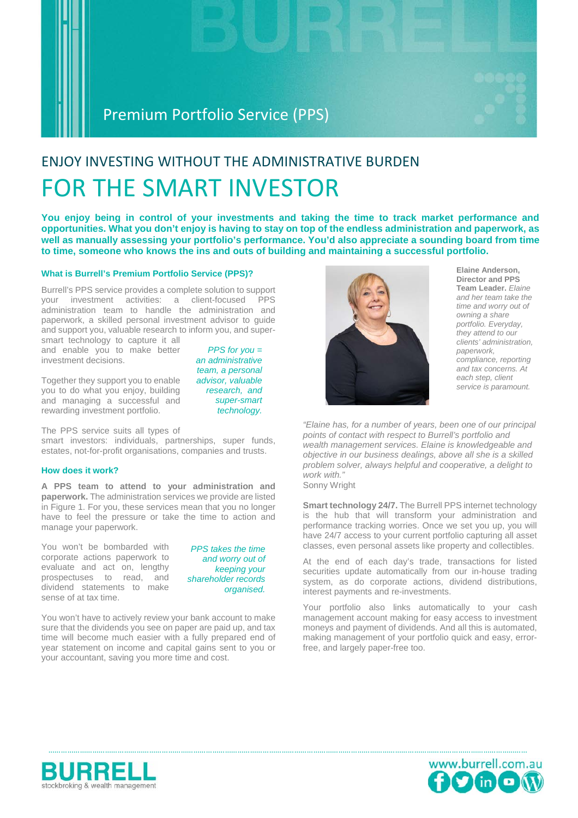### Premium Portfolio Service (PPS)

# ENJOY INVESTING WITHOUT THE ADMINISTRATIVE BURDEN FOR THE SMART INVESTOR

**You enjoy being in control of your investments and taking the time to track market performance and opportunities. What you don't enjoy is having to stay on top of the endless administration and paperwork, as well as manually assessing your portfolio's performance. You'd also appreciate a sounding board from time to time, someone who knows the ins and outs of building and maintaining a successful portfolio.**

### **What is Burrell's Premium Portfolio Service (PPS)?**

Burrell's PPS service provides a complete solution to support your investment activities: a client-focused PPS administration team to handle the administration and paperwork, a skilled personal investment advisor to guide and support you, valuable research to inform you, and super-

smart technology to capture it all and enable you to make better investment decisions.

Together they support you to enable you to do what you enjoy, building and managing a successful and rewarding investment portfolio.

*PPS for you = an administrative team, a personal advisor, valuable research, and super-smart technology.* 

The PPS service suits all types of

smart investors: individuals, partnerships, super funds, estates, not-for-profit organisations, companies and trusts.

### **How does it work?**

**A PPS team to attend to your administration and paperwork.** The administration services we provide are listed in Figure 1. For you, these services mean that you no longer have to feel the pressure or take the time to action and manage your paperwork.

You won't be bombarded with corporate actions paperwork to evaluate and act on, lengthy prospectuses to read, and dividend statements to make sense of at tax time.

*PPS takes the time and worry out of keeping your shareholder records organised.* 

You won't have to actively review your bank account to make sure that the dividends you see on paper are paid up, and tax time will become much easier with a fully prepared end of year statement on income and capital gains sent to you or your accountant, saving you more time and cost.



**Elaine Anderson, Director and PPS Team Leader.** *Elaine and her team take the time and worry out of owning a share portfolio. Everyday, they attend to our clients' administration, paperwork, compliance, reporting and tax concerns. At each step, client service is paramount.*

*"Elaine has, for a number of years, been one of our principal points of contact with respect to Burrell's portfolio and wealth management services. Elaine is knowledgeable and objective in our business dealings, above all she is a skilled problem solver, always helpful and cooperative, a delight to work with."* Sonny Wright

**Smart technology 24/7.** The Burrell PPS internet technology is the hub that will transform your administration and performance tracking worries. Once we set you up, you will have 24/7 access to your current portfolio capturing all asset classes, even personal assets like property and collectibles.

At the end of each day's trade, transactions for listed securities update automatically from our in-house trading system, as do corporate actions, dividend distributions, interest payments and re-investments.

Your portfolio also links automatically to your cash management account making for easy access to investment moneys and payment of dividends. And all this is automated, making management of your portfolio quick and easy, errorfree, and largely paper-free too.



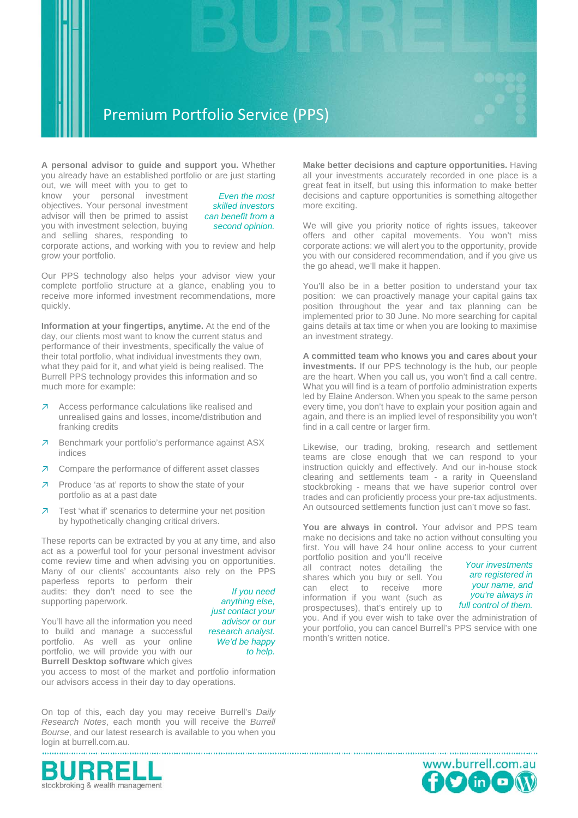

**A personal advisor to guide and support you.** Whether you already have an established portfolio or are just starting

out, we will meet with you to get to know your personal investment objectives. Your personal investment advisor will then be primed to assist you with investment selection, buying and selling shares, responding to

*Even the most skilled investors can benefit from a second opinion.*

corporate actions, and working with you to review and help grow your portfolio.

Our PPS technology also helps your advisor view your complete portfolio structure at a glance, enabling you to receive more informed investment recommendations, more quickly.

**Information at your fingertips, anytime.** At the end of the day, our clients most want to know the current status and performance of their investments, specifically the value of their total portfolio, what individual investments they own, what they paid for it, and what yield is being realised. The Burrell PPS technology provides this information and so much more for example:

- ↗ Access performance calculations like realised and unrealised gains and losses, income/distribution and franking credits
- ↗ Benchmark your portfolio's performance against ASX indices
- ↗ Compare the performance of different asset classes
- ↗ Produce 'as at' reports to show the state of your portfolio as at a past date
- ↗ Test 'what if' scenarios to determine your net position by hypothetically changing critical drivers.

These reports can be extracted by you at any time, and also act as a powerful tool for your personal investment advisor come review time and when advising you on opportunities. Many of our clients' accountants also rely on the PPS paperless reports to perform their

audits: they don't need to see the supporting paperwork.

You'll have all the information you need to build and manage a successful portfolio. As well as your online portfolio, we will provide you with our **Burrell Desktop software** which gives

*If you need anything else, just contact your advisor or our research analyst. We'd be happy to help.* 

you access to most of the market and portfolio information our advisors access in their day to day operations.

On top of this, each day you may receive Burrell's *Daily Research Notes*, each month you will receive the *Burrell Bourse*, and our latest research is available to you when you login at burrell.com.au.



**Make better decisions and capture opportunities.** Having all your investments accurately recorded in one place is a great feat in itself, but using this information to make better decisions and capture opportunities is something altogether more exciting.

We will give you priority notice of rights issues, takeover offers and other capital movements. You won't miss corporate actions: we will alert you to the opportunity, provide you with our considered recommendation, and if you give us the go ahead, we'll make it happen.

You'll also be in a better position to understand your tax position: we can proactively manage your capital gains tax position throughout the year and tax planning can be implemented prior to 30 June. No more searching for capital gains details at tax time or when you are looking to maximise an investment strategy.

**A committed team who knows you and cares about your investments.** If our PPS technology is the hub, our people are the heart. When you call us, you won't find a call centre. What you will find is a team of portfolio administration experts led by Elaine Anderson. When you speak to the same person every time, you don't have to explain your position again and again, and there is an implied level of responsibility you won't find in a call centre or larger firm.

Likewise, our trading, broking, research and settlement teams are close enough that we can respond to your instruction quickly and effectively. And our in-house stock clearing and settlements team - a rarity in Queensland stockbroking - means that we have superior control over trades and can proficiently process your pre-tax adjustments. An outsourced settlements function just can't move so fast.

You are always in control. Your advisor and PPS team make no decisions and take no action without consulting you first. You will have 24 hour online access to your current

portfolio position and you'll receive all contract notes detailing the shares which you buy or sell. You can elect to receive more information if you want (such as prospectuses), that's entirely up to

*Your investments are registered in your name, and you're always in full control of them.*

you. And if you ever wish to take over the administration of your portfolio, you can cancel Burrell's PPS service with one month's written notice.